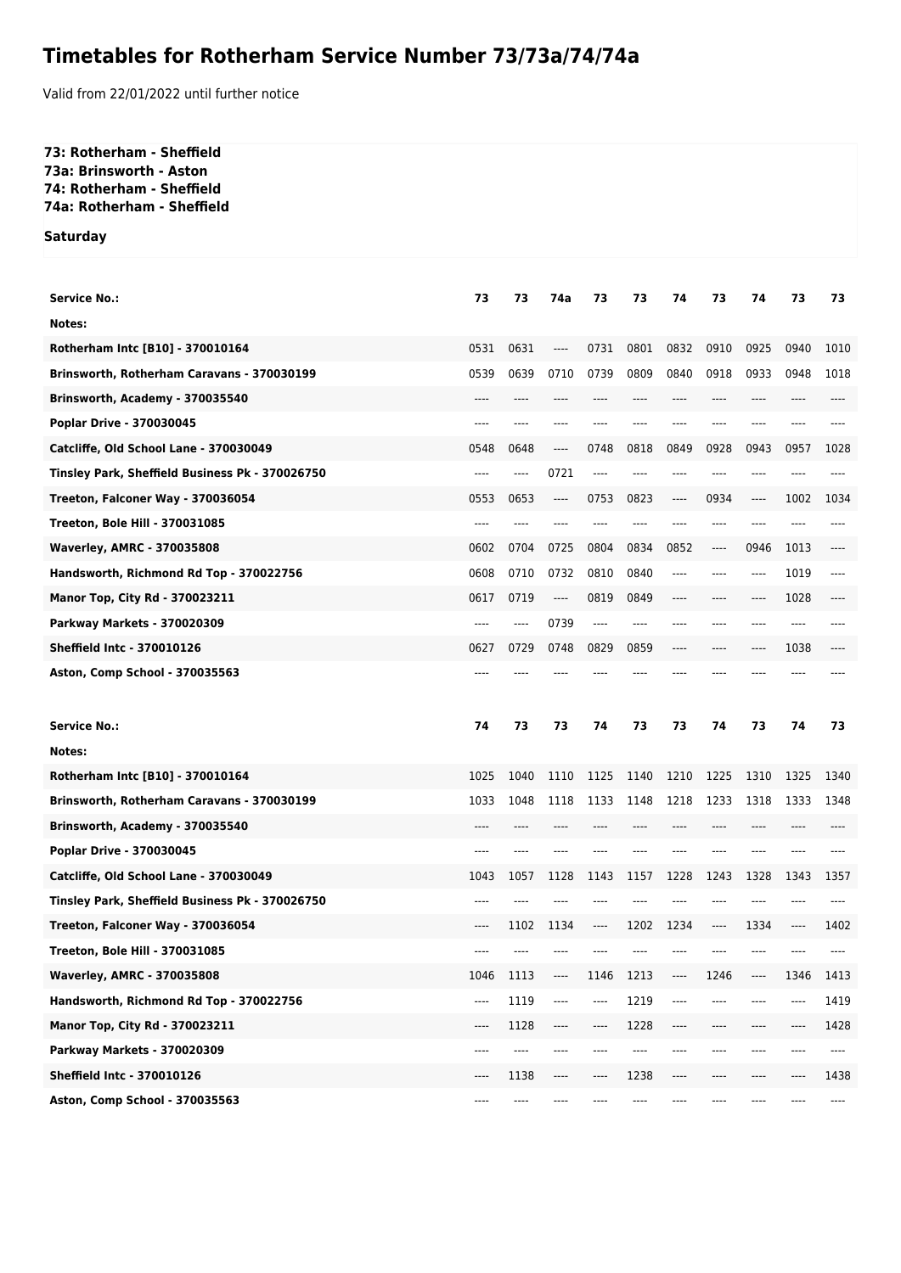## **Timetables for Rotherham Service Number 73/73a/74/74a**

Valid from 22/01/2022 until further notice

## **73: Rotherham - Sheffield 73a: Brinsworth - Aston 74: Rotherham - Sheffield 74a: Rotherham - Sheffield**

**Saturday**

| <b>Service No.:</b>                             | 73    | 73       | 74a                           | 73    | 73    | 74   | 73    | 74                            | 73   | 73   |
|-------------------------------------------------|-------|----------|-------------------------------|-------|-------|------|-------|-------------------------------|------|------|
| Notes:                                          |       |          |                               |       |       |      |       |                               |      |      |
| Rotherham Intc [B10] - 370010164                | 0531  | 0631     | ----                          | 0731  | 0801  | 0832 | 0910  | 0925                          | 0940 | 1010 |
| Brinsworth, Rotherham Caravans - 370030199      | 0539  | 0639     | 0710                          | 0739  | 0809  | 0840 | 0918  | 0933                          | 0948 | 1018 |
| Brinsworth, Academy - 370035540                 | ----  | ----     | ----                          |       |       |      | ----  | ----                          | ---- |      |
| Poplar Drive - 370030045                        |       |          |                               |       |       |      |       |                               |      |      |
| Catcliffe, Old School Lane - 370030049          | 0548  | 0648     | ----                          | 0748  | 0818  | 0849 | 0928  | 0943                          | 0957 | 1028 |
| Tinsley Park, Sheffield Business Pk - 370026750 | ----  | ----     | 0721                          | ----  |       | ---- |       |                               | ---- |      |
| Treeton, Falconer Way - 370036054               | 0553  | 0653     | ----                          | 0753  | 0823  | ---- | 0934  | $\hspace{1.5cm} \textbf{---}$ | 1002 | 1034 |
| <b>Treeton, Bole Hill - 370031085</b>           | ----  | ----     | ----                          |       |       | ---- | ----  | ----                          | ---- |      |
| <b>Waverley, AMRC - 370035808</b>               | 0602  | 0704     | 0725                          | 0804  | 0834  | 0852 | ----  | 0946                          | 1013 |      |
| Handsworth, Richmond Rd Top - 370022756         | 0608  | 0710     | 0732                          | 0810  | 0840  | ---- | ----  | $---$                         | 1019 | ---- |
| Manor Top, City Rd - 370023211                  | 0617  | 0719     | ----                          | 0819  | 0849  | ---- | ----  | $---$                         | 1028 |      |
| Parkway Markets - 370020309                     |       | ----     | 0739                          | ----  |       |      |       |                               | ---- |      |
| <b>Sheffield Intc - 370010126</b>               | 0627  | 0729     | 0748                          | 0829  | 0859  |      |       |                               | 1038 |      |
| Aston, Comp School - 370035563                  | ----  |          |                               |       |       |      |       |                               |      |      |
|                                                 |       |          |                               |       |       |      |       |                               |      |      |
|                                                 |       |          |                               |       |       |      |       |                               |      |      |
| <b>Service No.:</b>                             | 74    | 73       | 73                            | 74    | 73    | 73   | 74    | 73                            | 74   | 73   |
| Notes:                                          |       |          |                               |       |       |      |       |                               |      |      |
| Rotherham Intc [B10] - 370010164                | 1025  | 1040     | 1110                          | 1125  | 1140  | 1210 | 1225  | 1310                          | 1325 | 1340 |
| Brinsworth, Rotherham Caravans - 370030199      | 1033  | 1048     | 1118                          | 1133  | 1148  | 1218 | 1233  | 1318                          | 1333 | 1348 |
| Brinsworth, Academy - 370035540                 | $---$ | $---$    | ----                          | ----  |       | ---- | $---$ | $---$                         | ---- | ---- |
| Poplar Drive - 370030045                        | ----  | $---$    | ----                          | ----  |       | ---- | ----  | $---$                         | ---- |      |
| Catcliffe, Old School Lane - 370030049          | 1043  | 1057     | 1128                          | 1143  | 1157  | 1228 | 1243  | 1328                          | 1343 | 1357 |
| Tinsley Park, Sheffield Business Pk - 370026750 | ----  |          |                               |       |       | ---- | $---$ | $---$                         | ---- | ---- |
| Treeton, Falconer Way - 370036054               | ----  | 1102     | 1134                          | ----  | 1202  | 1234 | $---$ | 1334                          | ---- | 1402 |
| Treeton, Bole Hill - 370031085                  | ----  |          |                               |       |       |      | ----  |                               | ---- | ---- |
| <b>Waverley, AMRC - 370035808</b>               | 1046  | 1113     | ----                          | 1146  | 1213  | ---- | 1246  | $\hspace{1.5cm} \textbf{---}$ | 1346 | 1413 |
| Handsworth, Richmond Rd Top - 370022756         | ----  | 1119     | ----                          | $---$ | 1219  | ---- | $---$ | $---$                         | ---- | 1419 |
| Manor Top, City Rd - 370023211                  | ----  | 1128     | ----                          | $---$ | 1228  | ---- | $---$ | $---$                         | ---- | 1428 |
| <b>Parkway Markets - 370020309</b>              | ----  | $\cdots$ | ----                          | ----  | $---$ | ---- | $---$ | $---$                         | ---- | ---- |
| <b>Sheffield Intc - 370010126</b>               | ----  | 1138     | $\hspace{1.5cm} \textbf{---}$ | ----  | 1238  | ---- | $---$ | $---$                         | ---- | 1438 |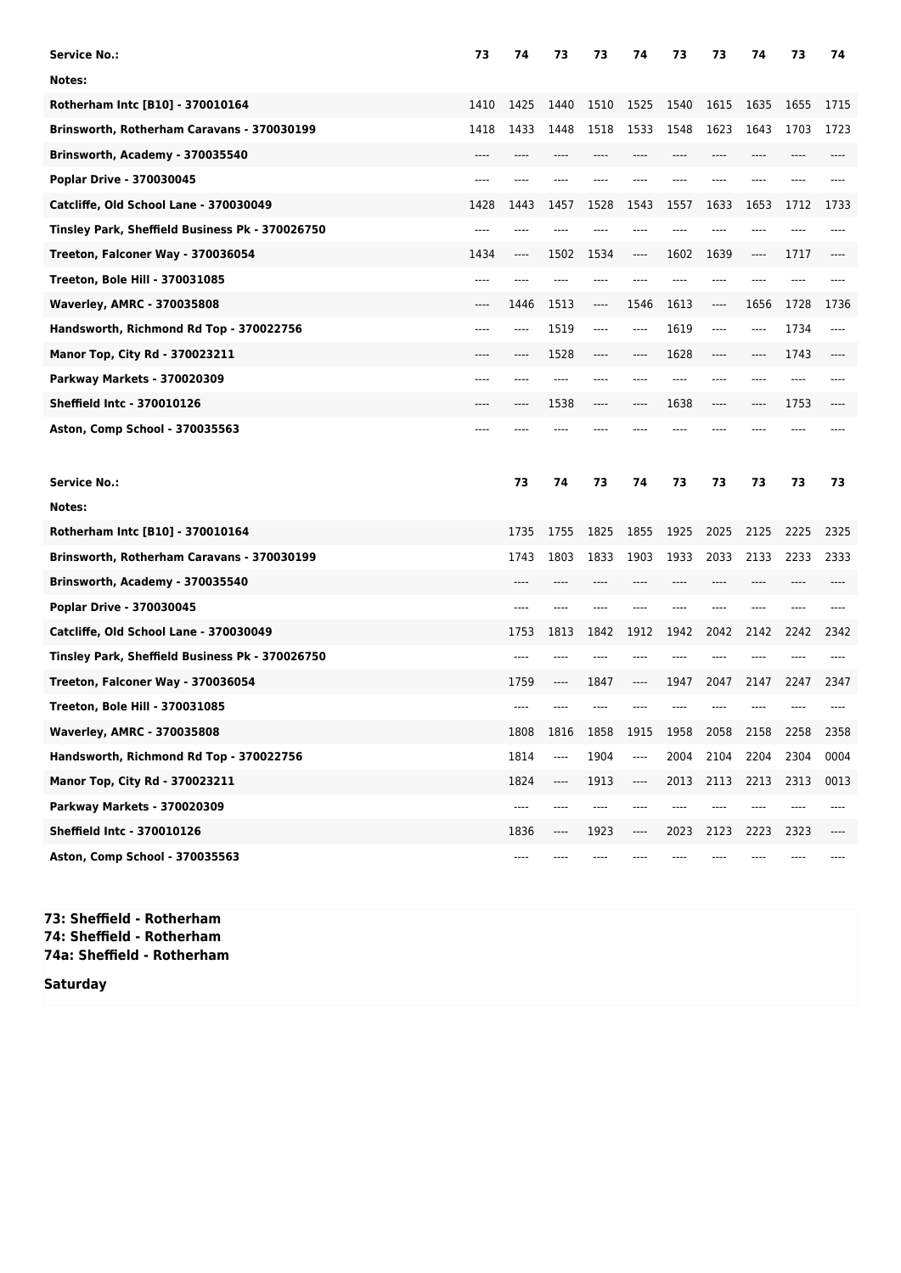| Service No.:                                    | 73   | 74      | 73    | 73   | 74    | 73    | 73   | 74   | 73   | 74   |
|-------------------------------------------------|------|---------|-------|------|-------|-------|------|------|------|------|
| Notes:                                          |      |         |       |      |       |       |      |      |      |      |
| Rotherham Intc [B10] - 370010164                | 1410 | 1425    | 1440  | 1510 | 1525  | 1540  | 1615 | 1635 | 1655 | 1715 |
| Brinsworth, Rotherham Caravans - 370030199      | 1418 | 1433    | 1448  | 1518 | 1533  | 1548  | 1623 | 1643 | 1703 | 1723 |
| Brinsworth, Academy - 370035540                 | ---- |         |       |      |       |       | ---- | ---- |      |      |
| Poplar Drive - 370030045                        | ---- |         |       | ---- |       |       |      |      |      |      |
| Catcliffe, Old School Lane - 370030049          | 1428 | 1443    | 1457  | 1528 | 1543  | 1557  | 1633 | 1653 | 1712 | 1733 |
| Tinsley Park, Sheffield Business Pk - 370026750 | ---- |         |       |      |       |       |      |      |      |      |
| Treeton, Falconer Way - 370036054               | 1434 | ----    | 1502  | 1534 | ----  | 1602  | 1639 | ---- | 1717 |      |
| <b>Treeton, Bole Hill - 370031085</b>           | ---- |         |       |      |       |       | ---- |      |      |      |
| <b>Waverley, AMRC - 370035808</b>               |      | 1446    | 1513  | ---- | 1546  | 1613  | ---- | 1656 | 1728 | 1736 |
| Handsworth, Richmond Rd Top - 370022756         | ---- | ----    | 1519  | ---- | ----  | 1619  | ---- | ---- | 1734 | ---- |
| Manor Top, City Rd - 370023211                  |      | ----    | 1528  | ---- | ----  | 1628  | ---- | ---- | 1743 |      |
| Parkway Markets - 370020309                     |      |         |       |      |       |       | ---- |      | ---- |      |
| <b>Sheffield Intc - 370010126</b>               |      |         | 1538  |      |       | 1638  | ---- | ---- | 1753 |      |
| Aston, Comp School - 370035563                  |      |         |       |      |       |       |      |      |      |      |
| <b>Service No.:</b>                             |      | 73      | 74    | 73   | 74    | 73    | 73   | 73   | 73   | 73   |
| Notes:                                          |      |         |       |      |       |       |      |      |      |      |
|                                                 |      |         |       |      |       |       |      |      |      |      |
| Rotherham Intc [B10] - 370010164                |      | 1735    | 1755  | 1825 | 1855  | 1925  | 2025 | 2125 | 2225 | 2325 |
| Brinsworth, Rotherham Caravans - 370030199      |      | 1743    | 1803  | 1833 | 1903  | 1933  | 2033 | 2133 | 2233 | 2333 |
| Brinsworth, Academy - 370035540                 |      | $---$   | $---$ | ---- |       | $---$ | ---- | ---- | ---- |      |
| Poplar Drive - 370030045                        |      | ----    |       |      |       | $---$ | ---- | ---- |      |      |
| Catcliffe, Old School Lane - 370030049          |      | 1753    | 1813  | 1842 | 1912  | 1942  | 2042 | 2142 | 2242 | 2342 |
| Tinsley Park, Sheffield Business Pk - 370026750 |      | $---$   | $---$ |      | ----  | ----  | ---- | ---- |      |      |
| Treeton, Falconer Way - 370036054               |      | 1759    | $---$ | 1847 | ----  | 1947  | 2047 | 2147 | 2247 | 2347 |
| Treeton, Bole Hill - 370031085                  |      |         |       |      |       |       |      |      |      |      |
| <b>Waverley, AMRC - 370035808</b>               |      | 1808    | 1816  | 1858 | 1915  | 1958  | 2058 | 2158 | 2258 | 2358 |
| Handsworth, Richmond Rd Top - 370022756         |      | 1814    | ----  | 1904 | ----  | 2004  | 2104 | 2204 | 2304 | 0004 |
| Manor Top, City Rd - 370023211                  |      | 1824    | ----  | 1913 | ----  | 2013  | 2113 | 2213 | 2313 | 0013 |
| Parkway Markets - 370020309                     |      | $-----$ | ----  | ---- | ----  | $---$ |      |      |      |      |
| <b>Sheffield Intc - 370010126</b>               |      | 1836    | ----  | 1923 | $---$ | 2023  | 2123 | 2223 | 2323 | ---- |

**73: Sheffield - Rotherham 74: Sheffield - Rotherham 74a: Sheffield - Rotherham**

**Saturday**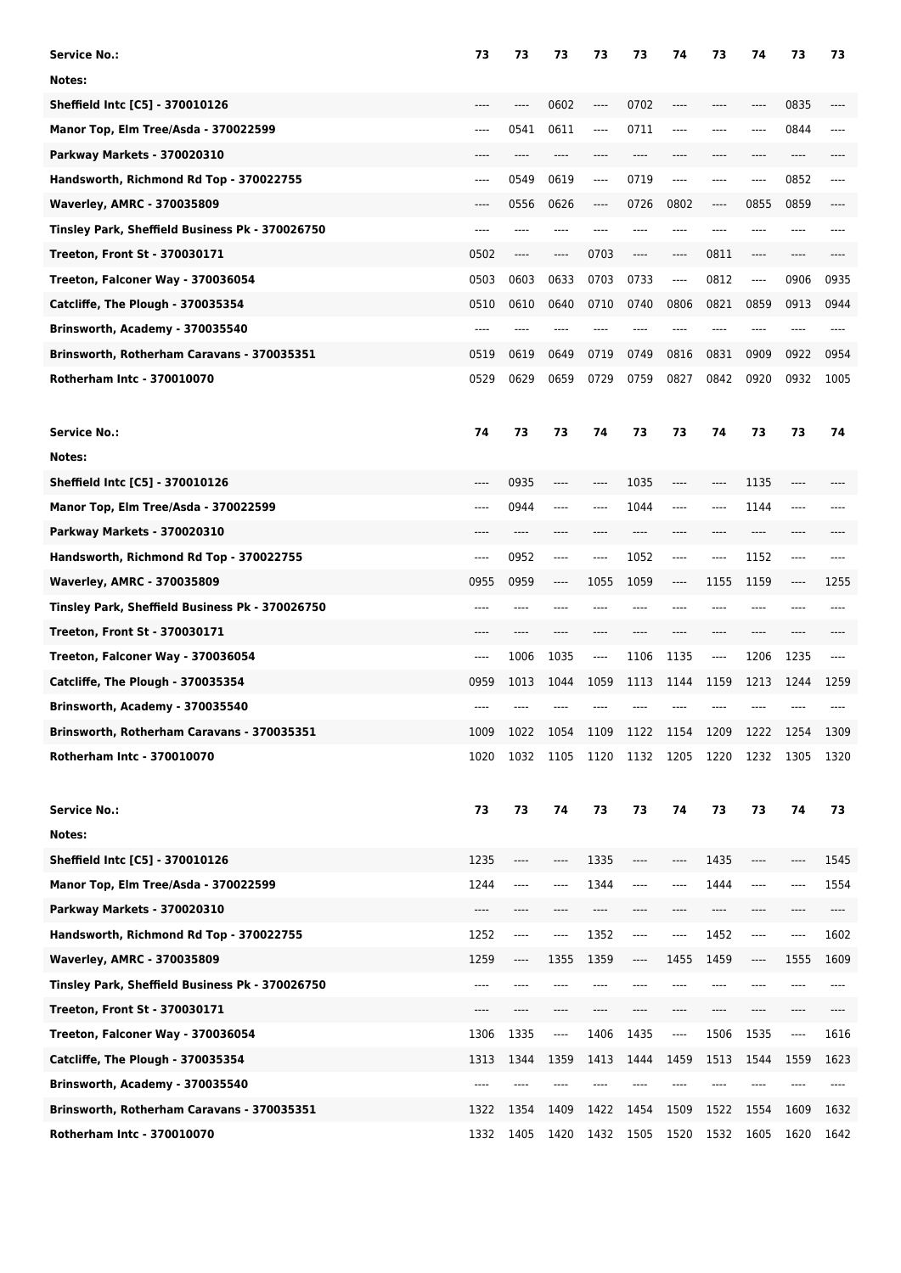| <b>Service No.:</b>                             | 73    | 73   | 73                            | 73       | 73    | 74      | 73                            | 74                            | 73   | 73    |
|-------------------------------------------------|-------|------|-------------------------------|----------|-------|---------|-------------------------------|-------------------------------|------|-------|
| Notes:                                          |       |      |                               |          |       |         |                               |                               |      |       |
| Sheffield Intc [C5] - 370010126                 | ----  |      | 0602                          | $---$    | 0702  | ----    | ----                          | $---$                         | 0835 |       |
| Manor Top, Elm Tree/Asda - 370022599            | $---$ | 0541 | 0611                          | ----     | 0711  | $---$   | $---$                         | ----                          | 0844 |       |
| Parkway Markets - 370020310                     | ----  | ---- | ----                          | ----     | $---$ | ----    | $---$                         | $---$                         | ---- |       |
| Handsworth, Richmond Rd Top - 370022755         | $---$ | 0549 | 0619                          | ----     | 0719  | $---$   | $---$                         | $---$                         | 0852 | ----  |
| <b>Waverley, AMRC - 370035809</b>               | ----  | 0556 | 0626                          | $---$    | 0726  | 0802    | ----                          | 0855                          | 0859 |       |
| Tinsley Park, Sheffield Business Pk - 370026750 | ----  | ---- | ----                          |          | $---$ | ----    | ----                          | $---$                         | ---- |       |
| Treeton, Front St - 370030171                   | 0502  | ---- | $\hspace{1.5cm} \textbf{---}$ | 0703     | ----  | $---$   | 0811                          | $---$                         | ---- |       |
| Treeton, Falconer Way - 370036054               | 0503  | 0603 | 0633                          | 0703     | 0733  | $---$   | 0812                          | ----                          | 0906 | 0935  |
| Catcliffe, The Plough - 370035354               | 0510  | 0610 | 0640                          | 0710     | 0740  | 0806    | 0821                          | 0859                          | 0913 | 0944  |
| Brinsworth, Academy - 370035540                 | $---$ | ---- | ----                          |          |       | ----    | ----                          | $---$                         | ---- |       |
| Brinsworth, Rotherham Caravans - 370035351      | 0519  | 0619 | 0649                          | 0719     | 0749  | 0816    | 0831                          | 0909                          | 0922 | 0954  |
| Rotherham Intc - 370010070                      | 0529  | 0629 | 0659                          | 0729     | 0759  | 0827    | 0842                          | 0920                          | 0932 | 1005  |
| <b>Service No.:</b>                             | 74    | 73   | 73                            | 74       | 73    | 73      | 74                            | 73                            | 73   | 74    |
| Notes:                                          |       |      |                               |          |       |         |                               |                               |      |       |
| Sheffield Intc [C5] - 370010126                 | ----  | 0935 | $-----$                       | ----     | 1035  | $-----$ | $-----$                       | 1135                          | ---- |       |
| Manor Top, Elm Tree/Asda - 370022599            | ----  | 0944 | ----                          | ----     | 1044  | ----    | ----                          | 1144                          | ---- |       |
| Parkway Markets - 370020310                     |       | ---- |                               |          |       |         |                               | ----                          |      |       |
| Handsworth, Richmond Rd Top - 370022755         | ----  | 0952 | $-----$                       | $^{***}$ | 1052  | ----    | $-----$                       | 1152                          | ---- |       |
| <b>Waverley, AMRC - 370035809</b>               | 0955  | 0959 | $\hspace{1.5cm} \textbf{---}$ | 1055     | 1059  | $-----$ | 1155                          | 1159                          | ---- | 1255  |
| Tinsley Park, Sheffield Business Pk - 370026750 | ----  | ---- |                               |          |       |         |                               |                               |      |       |
| Treeton, Front St - 370030171                   |       |      |                               |          |       |         |                               | ----                          |      |       |
| Treeton, Falconer Way - 370036054               | ----  | 1006 | 1035                          | ----     | 1106  | 1135    | ----                          | 1206                          | 1235 |       |
| Catcliffe, The Plough - 370035354               | 0959  | 1013 | 1044                          | 1059     | 1113  | 1144    | 1159                          | 1213                          | 1244 | 1259  |
| Brinsworth, Academy - 370035540                 |       |      |                               |          |       |         |                               |                               |      |       |
| Brinsworth, Rotherham Caravans - 370035351      | 1009  | 1022 | 1054                          | 1109     | 1122  | 1154    | 1209                          | 1222                          | 1254 | 1309  |
| Rotherham Intc - 370010070                      | 1020  | 1032 | 1105                          | 1120     | 1132  | 1205    | 1220                          | 1232                          | 1305 | 1320  |
| <b>Service No.:</b>                             | 73    | 73   | 74                            | 73       | 73    | 74      | 73                            | 73                            | 74   | 73    |
| Notes:                                          |       |      |                               |          |       |         |                               |                               |      |       |
| Sheffield Intc [C5] - 370010126                 | 1235  | ---- | $-----$                       | 1335     | ----  | $-----$ | 1435                          | ----                          |      | 1545  |
| Manor Top, Elm Tree/Asda - 370022599            | 1244  | ---- | $---$                         | 1344     | ----  | ----    | 1444                          | ----                          | ---- | 1554  |
| Parkway Markets - 370020310                     | ----  | ---- | $---$                         | ----     | ----  | $---$   | $\hspace{1.5cm} \textbf{---}$ | ----                          | ---- | $---$ |
| Handsworth, Richmond Rd Top - 370022755         | 1252  | ---- | $---$                         | 1352     | ----  | $-----$ | 1452                          | ----                          | ---- | 1602  |
| <b>Waverley, AMRC - 370035809</b>               | 1259  | ---- | 1355                          | 1359     | $---$ | 1455    | 1459                          | $\hspace{1.5cm} \textbf{---}$ | 1555 | 1609  |
| Tinsley Park, Sheffield Business Pk - 370026750 | ----  | ---- |                               |          | ----  | ----    | ----                          | ----                          |      | ----  |
| <b>Treeton, Front St - 370030171</b>            | ----  | ---- | $---$                         | ----     | $---$ | $---$   | $---$                         | ----                          | ---- | ----  |
| Treeton, Falconer Way - 370036054               | 1306  | 1335 | ----                          | 1406     | 1435  | ----    | 1506                          | 1535                          | ---- | 1616  |
| Catcliffe, The Plough - 370035354               | 1313  | 1344 | 1359                          | 1413     | 1444  | 1459    | 1513                          | 1544                          | 1559 | 1623  |
| Brinsworth, Academy - 370035540                 | ----  |      |                               |          |       |         |                               |                               |      |       |
| Brinsworth, Rotherham Caravans - 370035351      | 1322  | 1354 | 1409                          | 1422     | 1454  | 1509    | 1522                          | 1554                          | 1609 | 1632  |
| Rotherham Intc - 370010070                      | 1332  | 1405 | 1420                          | 1432     | 1505  | 1520    | 1532                          | 1605                          | 1620 | 1642  |